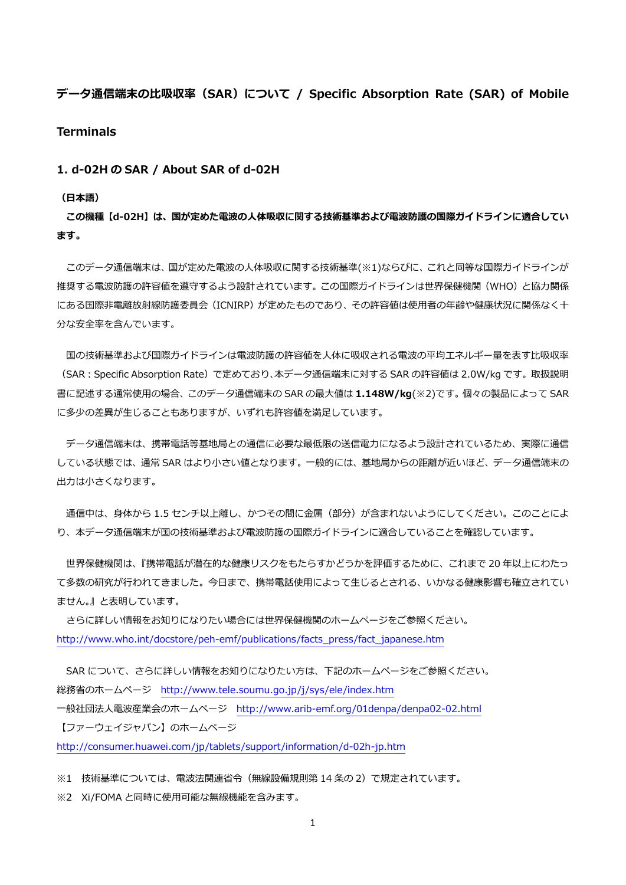# **データ通信端末の⽐吸収率(SAR)について / Specific Absorption Rate (SAR) of Mobile Terminals**

## **1. d-02H の SAR / About SAR of d-02H**

#### **(⽇本語)**

**この機種【d-02H】は、国が定めた電波の⼈体吸収に関する技術基準および電波防護の国際ガイドラインに適合してい ます。** 

 このデータ通信端末は、国が定めた電波の⼈体吸収に関する技術基準(※1)ならびに、これと同等な国際ガイドラインが 推奨する電波防護の許容値を遵守するよう設計されています。この国際ガイドラインは世界保健機関(WHO)と協力関係 にある国際非電離放射線防護委員会(ICNIRP)が定めたものであり、その許容値は使用者の年齢や健康状況に関係なく十 分な安全率を含んでいます。

国の技術基準および国際ガイドラインは電波防護の許容値を人体に吸収される電波の平均エネルギー量を表す比吸収率 (SAR:Specific Absorption Rate)で定めており、本データ通信端末に対する SAR の許容値は 2.0W/kg です。取扱説明 書に記述する通常使⽤の場合、このデータ通信端末の SAR の最⼤値は **1.148W/kg**(※2)です。個々の製品によって SAR に多少の差異が生じることもありますが、いずれも許容値を満足しています。

 データ通信端末は、携帯電話等基地局との通信に必要な最低限の送信電⼒になるよう設計されているため、実際に通信 している状態では、通常 SAR はより⼩さい値となります。⼀般的には、基地局からの距離が近いほど、データ通信端末の 出力は小さくなります。

通信中は、身体から 1.5 センチ以上離し、かつその間に金属 (部分) が含まれないようにしてください。このことによ り、本データ通信端末が国の技術基準および電波防護の国際ガイドラインに適合していることを確認しています。

世界保健機関は、『携帯電話が潜在的な健康リスクをもたらすかどうかを評価するために、これまで 20 年以上にわたっ て多数の研究が行われてきました。今日まで、携帯電話使用によって生じるとされる、いかなる健康影響も確立されてい ません。』と表明しています。

 さらに詳しい情報をお知りになりたい場合には世界保健機関のホームページをご参照ください。 http://www.who.int/docstore/peh-emf/publications/facts\_press/fact\_japanese.htm

SAR について、さらに詳しい情報をお知りになりたい方は、下記のホームページをご参照ください。 総務省のホームページ http://www.tele.soumu.go.jp/j/sys/ele/index.htm ⼀般社団法⼈電波産業会のホームページ http://www.arib-emf.org/01denpa/denpa02-02.html 【ファーウェイジャパン】のホームページ

http://consumer.huawei.com/jp/tablets/support/information/d-02h-jp.htm

※1 技術基準については、電波法関連省令(無線設備規則第 14 条の 2)で規定されています。

※2 Xi/FOMA と同時に使用可能な無線機能を含みます。